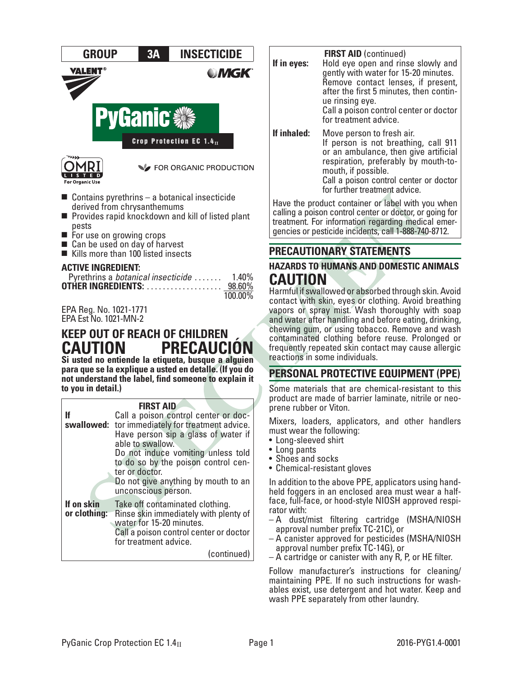

- $\blacksquare$  Contains pyrethrins a botanical insecticide derived from chrysanthemums
- $\blacksquare$  Provides rapid knockdown and kill of listed plant pests
- $\blacksquare$  For use on growing crops
- $\blacksquare$  Can be used on day of harvest
- Kills more than 100 listed insects

#### **ACTIVE INGREDIENT:**

| Pyrethrins a botanical insecticide | $1.40\%$   |
|------------------------------------|------------|
|                                    |            |
|                                    | $100.00\%$ |

EPA Reg. No. 1021-1771 EPA Est No. 1021-MN-2

# **KEEP OUT OF REACH OF CHILDREN CAUTION PRECAUCIÓN**

**Si usted no entiende la etiqueta, busque a alguien para que se la explique a usted en detalle. (If you do not understand the label, find someone to explain it to you in detail.)**

#### **FIRST AID**

|                            | Call a poison control center or doc-<br>swallowed: tor immediately for treatment advice.<br>Have person sip a glass of water if<br>able to swallow.<br>Do not induce vomiting unless told<br>to do so by the poison control cen-<br>ter or doctor.<br>Do not give anything by mouth to an<br>unconscious person. |
|----------------------------|------------------------------------------------------------------------------------------------------------------------------------------------------------------------------------------------------------------------------------------------------------------------------------------------------------------|
| If on skin<br>or clothing: | Take off contaminated clothing.<br>Rinse skin immediately with plenty of<br>water for 15-20 minutes.<br>Call a poison control center or doctor<br>for treatment advice.<br>(continued)                                                                                                                           |

| If in eyes: | <b>FIRST AID (continued)</b><br>Hold eye open and rinse slowly and<br>gently with water for 15-20 minutes.<br>Remove contact lenses, if present,<br>after the first 5 minutes, then contin-<br>ue rinsing eye.<br>Call a poison control center or doctor<br>for treatment advice. |
|-------------|-----------------------------------------------------------------------------------------------------------------------------------------------------------------------------------------------------------------------------------------------------------------------------------|
| If inhaled: | Move person to fresh air.<br>If person is not breathing, call 911<br>or an ambulance, then give artificial<br>respiration, preferably by mouth-to-<br>mouth, if possible.<br>Call a poison control center or doctor<br>for further treatment advice.                              |
|             | Have the product container or label with you when                                                                                                                                                                                                                                 |

calling a poison control center or doctor, or going for treatment. For information regarding medical emer- gencies or pesticide incidents, call 1-888-740-8712.

## **PRECAUTIONARY STATEMENTS**

## **HAZARDS TO HUMANS AND DOMESTIC ANIMALS CAUTION**

Harmful if swallowed or absorbed through skin. Avoid contact with skin, eyes or clothing. Avoid breathing vapors or spray mist. Wash thoroughly with soap and water after handling and before eating, drinking, chewing gum, or using tobacco. Remove and wash contaminated clothing before reuse. Prolonged or frequently repeated skin contact may cause allergic reactions in some individuals.

## **PERSONAL PROTECTIVE EQUIPMENT (PPE)**

Some materials that are chemical-resistant to this product are made of barrier laminate, nitrile or neoprene rubber or Viton.

Mixers, loaders, applicators, and other handlers must wear the following:

- Long-sleeved shirt
- Long pants
- Shoes and socks
- Chemical-resistant gloves

In addition to the above PPE, applicators using hand- held foggers in an enclosed area must wear a halfface, full-face, or hood-style NIOSH approved respi- rator with:

- A dust/mist filtering cartridge (MSHA/NIOSH approval number prefix TC-21C), or
- A canister approved for pesticides (MSHA/NIOSH approval number prefix TC-14G), or
- A cartridge or canister with any R, P, or HE filter.

Follow manufacturer's instructions for cleaning/ maintaining PPE. If no such instructions for wash- ables exist, use detergent and hot water. Keep and wash PPE separately from other laundry.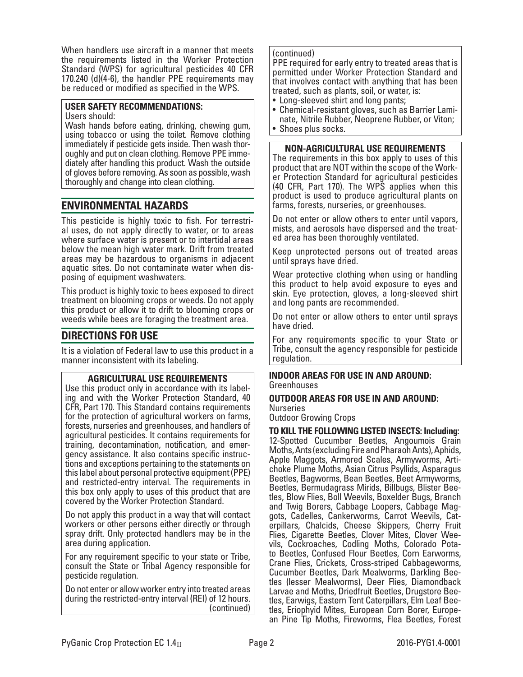When handlers use aircraft in a manner that meets the requirements listed in the Worker Protection Standard (WPS) for agricultural pesticides 40 CFR 170.240 (d)(4-6), the handler PPE requirements may be reduced or modified as specified in the WPS.

#### **USER SAFETY RECOMMENDATIONS:**

Users should:

Wash hands before eating, drinking, chewing gum, using tobacco or using the toilet. Remove clothing immediately if pesticide gets inside. Then wash thor- oughly and put on clean clothing. Remove PPE imme- diately after handling this product. Wash the outside of gloves before removing. As soon as possible, wash thoroughly and change into clean clothing.

## **ENVIRONMENTAL HAZARDS**

This pesticide is highly toxic to fish. For terrestrial uses, do not apply directly to water, or to areas where surface water is present or to intertidal areas below the mean high water mark. Drift from treated areas may be hazardous to organisms in adjacent aquatic sites. Do not contaminate water when disposing of equipment washwaters.

This product is highly toxic to bees exposed to direct treatment on blooming crops or weeds. Do not apply this product or allow it to drift to blooming crops or weeds while bees are foraging the treatment area.

## **DIRECTIONS FOR USE**

It is a violation of Federal law to use this product in a manner inconsistent with its labeling.

### **AGRICULTURAL USE REQUIREMENTS**

Use this product only in accordance with its labeling and with the Worker Protection Standard, 40 CFR, Part 170. This Standard contains requirements for the protection of agricultural workers on farms, forests, nurseries and greenhouses, and handlers of agricultural pesticides. It contains requirements for training, decontamination, notification, and emergency assistance. It also contains specific instructions and exceptions pertaining to the statements on this label about personal protective equipment (PPE) and restricted-entry interval. The requirements in this box only apply to uses of this product that are covered by the Worker Protection Standard.

Do not apply this product in a way that will contact workers or other persons either directly or through spray drift. Only protected handlers may be in the area during application.

For any requirement specific to your state or Tribe, consult the State or Tribal Agency responsible for pesticide regulation.

Do not enter or allow worker entry into treated areas during the restricted-entry interval (REI) of 12 hours. (continued)

### (continued)

PPE required for early entry to treated areas that is permitted under Worker Protection Standard and that involves contact with anything that has been treated, such as plants, soil, or water, is:

- Long-sleeved shirt and long pants;
- Chemical-resistant gloves, such as Barrier Laminate, Nitrile Rubber, Neoprene Rubber, or Viton;
- Shoes plus socks.

### **NON-AGRICULTURAL USE REQUIREMENTS**

The requirements in this box apply to uses of this product that are NOT within the scope of the Worker Protection Standard for agricultural pesticides (40 CFR, Part 170). The WPS applies when this product is used to produce agricultural plants on farms, forests, nurseries, or greenhouses.

Do not enter or allow others to enter until vapors, mists, and aerosols have dispersed and the treat- ed area has been thoroughly ventilated.

Keep unprotected persons out of treated areas until sprays have dried.

Wear protective clothing when using or handling this product to help avoid exposure to eyes and skin. Eye protection, gloves, a long-sleeved shirt and long pants are recommended.

Do not enter or allow others to enter until sprays have dried.

For any requirements specific to your State or Tribe, consult the agency responsible for pesticide regulation.

#### **INDOOR AREAS FOR USE IN AND AROUND:** Greenhouses

### **OUTDOOR AREAS FOR USE IN AND AROUND: Nurseries**

Outdoor Growing Crops

**TO KILL THE FOLLOWING LISTED INSECTS: Including:** 12-Spotted Cucumber Beetles, Angoumois Grain Moths, Ants (excluding Fire and Pharaoh Ants), Aphids, Apple Maggots, Armored Scales, Armyworms, Arti- choke Plume Moths, Asian Citrus Psyllids, Asparagus Beetles, Bagworms, Bean Beetles, Beet Armyworms, tles, Blow Flies, Boll Weevils, Boxelder Bugs, Branch and Twig Borers, Cabbage Loopers, Cabbage Mag-<br>gots, Cadelles, Cankerworms, Carrot Weevils, Cat-<br>erpillars, Chalcids, Cheese Skippers, Cherry Fruit<br>Flies, Cigarette Beetles, Clover Mites, Clover Weevils, Cockroaches, Codling Moths, Colorado Pota-<br>to Beetles, Confused Flour Beetles, Corn Earworms, Crane Flies, Crickets, Cross-striped Cabbageworms, tles (lesser Mealworms), Deer Flies, Diamondback<br>Larvae and Moths, Driedfruit Beetles, Drugstore Beetles, Earwigs, Eastern Tent Caterpillars, Elm Leaf Bee-<br>tles, Eriophyid Mites, European Corn Borer, Europe-<br>an Pine Tip Moths, Fireworms, Flea Beetles, Forest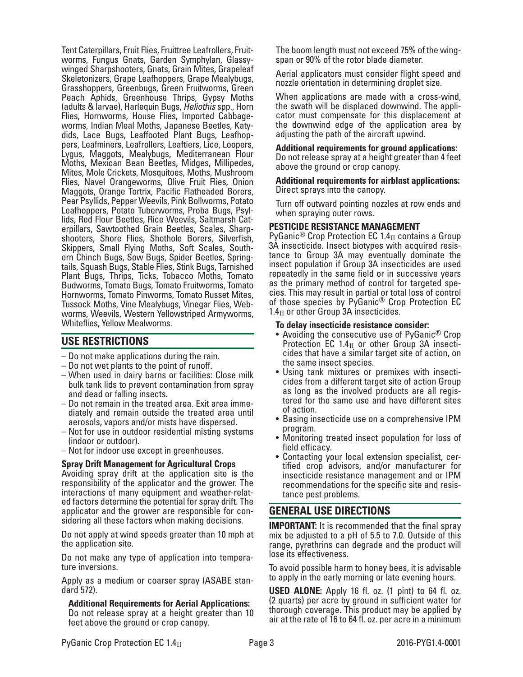Tent Caterpillars, Fruit Flies, Fruittree Leafrollers, Fruitworms, Fungus Gnats, Garden Symphylan, Glassywinged Sharpshooters, Gnats, Grain Mites, Grapeleaf Skeletonizers, Grape Leafhoppers, Grape Mealybugs, Grasshoppers, Greenbugs, Green Fruitworms, Green Peach Aphids, Greenhouse Thrips, Gypsy Moths (adults & larvae), Harlequin Bugs, *Heliothis* spp., Horn Flies, Hornworms, House Flies, Imported Cabbage-<br>worms, Indian Meal Moths, Japanese Beetles, Katy-<br>dids, Lace Bugs, Leaffooted Plant Bugs, Leafhop-<br>pers, Leafminers, Leafrollers, Leaftiers, Lice, Loopers, Lygus, Maggots, Mealybugs, Mediterranean Flour Moths, Mexican Bean Beetles, Midges, Millipedes, Mites, Mole Crickets, Mosquitoes, Moths, Mushroom Flies, Navel Orangeworms, Olive Fruit Flies, Onion Maggots, Orange Tortrix, Pacific Flatheaded Borers, Pear Psyllids, Pepper Weevils, Pink Bollworms, Potato lids, Red Flour Beetles, Rice Weevils, Saltmarsh Cat-<br>erpillars, Sawtoothed Grain Beetles, Scales, Sharp-<br>shooters, Shore Flies, Shothole Borers, Silverfish, Skippers, Small Flying Moths, Soft Scales, South- ern Chinch Bugs, Sow Bugs, Spider Beetles, Spring- tails, Squash Bugs, Stable Flies, Stink Bugs, Tarnished Plant Bugs, Thrips, Ticks, Tobacco Moths, Tomato Budworms, Tomato Bugs, Tomato Fruitworms, Tomato Hornworms, Tomato Pinworms, Tomato Russet Mites, Tussock Moths, Vine Mealybugs, Vinegar Flies, Web- worms, Weevils, Western Yellowstriped Armyworms, Whiteflies, Yellow Mealworms.

## **USE RESTRICTIONS**

- Do not make applications during the rain.
- Do not wet plants to the point of runoff.
- When used in dairy barns or facilities: Close milk bulk tank lids to prevent contamination from spray and dead or falling insects.
- Do not remain in the treated area. Exit area immediately and remain outside the treated area until aerosols, vapors and/or mists have dispersed.
- Not for use in outdoor residential misting systems (indoor or outdoor).
- Not for indoor use except in greenhouses.

### **Spray Drift Management for Agricultural Crops**

Avoiding spray drift at the application site is the responsibility of the applicator and the grower. The interactions of many equipment and weather-related factors determine the potential for spray drift. The applicator and the grower are responsible for considering all these factors when making decisions.

Do not apply at wind speeds greater than 10 mph at the application site.

Do not make any type of application into temperature inversions.

Apply as a medium or coarser spray (ASABE stan- dard 572).

**Additional Requirements for Aerial Applications:** Do not release spray at a height greater than 10 feet above the ground or crop canopy.

The boom length must not exceed 75% of the wingspan or 90% of the rotor blade diameter.

Aerial applicators must consider flight speed and nozzle orientation in determining droplet size.

When applications are made with a cross-wind, the swath will be displaced downwind. The appli- cator must compensate for this displacement at the downwind edge of the application area by adjusting the path of the aircraft upwind.

#### **Additional requirements for ground applications:**

Do not release spray at a height greater than 4 feet above the ground or crop canopy.

**Additional requirements for airblast applications:**  Direct sprays into the canopy.

Turn off outward pointing nozzles at row ends and when spraying outer rows.

#### **PESTICIDE RESISTANCE MANAGEMENT**

PyGanic<sup>®</sup> Crop Protection EC 1.4 $_{\text{II}}$  contains a Group 3A insecticide. Insect biotypes with acquired resistance to Group 3A may eventually dominate the insect population if Group 3A insecticides are used repeatedly in the same field or in successive years as the primary method of control for targeted species. This may result in partial or total loss of control of those species by PyGanic® Crop Protection EC  $1.4<sub>II</sub>$  or other Group 3A insecticides.

#### **To delay insecticide resistance consider:**

- Avoiding the consecutive use of PyGanic<sup>®</sup> Crop Protection EC 1.4 $_{II}$  or other Group 3A insecticides that have a similar target site of action, on the same insect species.
- Using tank mixtures or premixes with insecticides from a different target site of action Group as long as the involved products are all registered for the same use and have different sites of action.
- Basing insecticide use on a comprehensive IPM program.
- Monitoring treated insect population for loss of field efficacy.
- Contacting your local extension specialist, certified crop advisors, and/or manufacturer for insecticide resistance management and or IPM recommendations for the specific site and resistance pest problems.

## **GENERAL USE DIRECTIONS**

**IMPORTANT:** It is recommended that the final spray mix be adjusted to a pH of 5.5 to 7.0. Outside of this range, pyrethrins can degrade and the product will lose its effectiveness.

To avoid possible harm to honey bees, it is advisable to apply in the early morning or late evening hours.

**USED ALONE:** Apply 16 fl. oz. (1 pint) to 64 fl. oz. (2 quarts) per acre by ground in sufficient water for thorough coverage. This product may be applied by air at the rate of 16 to 64 fl. oz. per acre in a minimum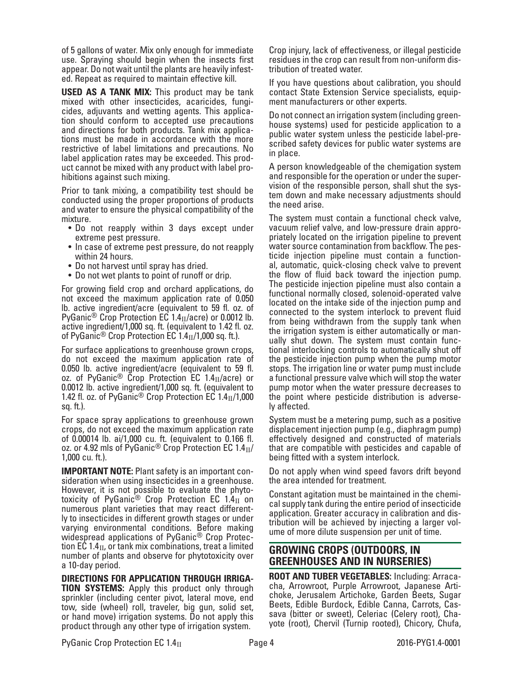of 5 gallons of water. Mix only enough for immediate use. Spraying should begin when the insects first appear. Do not wait until the plants are heavily infest- ed. Repeat as required to maintain effective kill.

**USED AS A TANK MIX:** This product may be tank mixed with other insecticides, acaricides, fungicides, adjuvants and wetting agents. This application should conform to accepted use precautions and directions for both products. Tank mix applications must be made in accordance with the more restrictive of label limitations and precautions. No label application rates may be exceeded. This product cannot be mixed with any product with label prohibitions against such mixing.

Prior to tank mixing, a compatibility test should be conducted using the proper proportions of products and water to ensure the physical compatibility of the mixture.

- Do not reapply within 3 days except under extreme pest pressure.
- In case of extreme pest pressure, do not reapply within 24 hours.
- Do not harvest until spray has dried.
- Do not wet plants to point of runoff or drip.

For growing field crop and orchard applications, do not exceed the maximum application rate of 0.050 lb. active ingredient/acre (equivalent to 59 fl. oz. of PyGanic<sup>®</sup> Crop Protection EC 1.4 $_{II}/a$ cre) or 0.0012 lb. active ingredient/1,000 sq. ft. (equivalent to 1.42 fl. oz. of PyGanic<sup>®</sup> Crop Protection EC  $1.4<sub>II</sub>/1,000$  sq. ft.).

For surface applications to greenhouse grown crops, do not exceed the maximum application rate of 0.050 lb. active ingredient/acre (equivalent to 59 fl. oz. of PyGanic<sup>®</sup> Crop Protection EC 1.4 $_{II}/$ acre) or 0.0012 lb. active ingredient/1,000 sq. ft. (equivalent to 1.42 fl. oz. of PyGanic<sup>®</sup> Crop Protection EC 1.4 $_{\text{II}}$ /1,000 sq. ft.).

For space spray applications to greenhouse grown crops, do not exceed the maximum application rate of 0.00014 lb. ai/1,000 cu. ft. (equivalent to 0.166 fl. oz. or 4.92 mls of PyGanic<sup>®</sup> Crop Protection EC  $1.4<sub>II</sub>$ / 1,000 cu. ft.).

**IMPORTANT NOTE:** Plant safety is an important consideration when using insecticides in a greenhouse. However, it is not possible to evaluate the phyto-<br>toxicity of PyGanic<sup>®</sup> Crop Protection EC 1.4 $_{\rm II}$  on numerous plant varieties that may react differently to insecticides in different growth stages or under varying environmental conditions. Before making widespread applications of PyGanic® Crop Protection EC 1.4 $_{\text{II}}$ , or tank mix combinations, treat a limited number of plants and observe for phytotoxicity over a 10-day period.

**DIRECTIONS FOR APPLICATION THROUGH IRRIGA-TION SYSTEMS:** Apply this product only through sprinkler (including center pivot, lateral move, end tow, side (wheel) roll, traveler, big gun, solid set, or hand move) irrigation systems. Do not apply this product through any other type of irrigation system.

Crop injury, lack of effectiveness, or illegal pesticide residues in the crop can result from non-uniform distribution of treated water.

If you have questions about calibration, you should contact State Extension Service specialists, equipment manufacturers or other experts.

Do not connect an irrigation system (including green- house systems) used for pesticide application to a public water system unless the pesticide label-pre- scribed safety devices for public water systems are in place.

A person knowledgeable of the chemigation system and responsible for the operation or under the supervision of the responsible person, shall shut the system down and make necessary adjustments should the need arise.

The system must contain a functional check valve, vacuum relief valve, and low-pressure drain appropriately located on the irrigation pipeline to prevent water source contamination from backflow. The pes-<br>ticide injection pipeline must contain a function-<br>al, automatic, quick-closing check valve to prevent the flow of fluid back toward the injection pump. The pesticide injection pipeline must also contain a functional normally closed, solenoid-operated valve located on the intake side of the injection pump and connected to the system interlock to prevent fluid from being withdrawn from the supply tank when the irrigation system is either automatically or man- ually shut down. The system must contain func- tional interlocking controls to automatically shut off the pesticide injection pump when the pump motor stops. The irrigation line or water pump must include a functional pressure valve which will stop the water pump motor when the water pressure decreases to the point where pesticide distribution is adversely affected.

System must be a metering pump, such as a positive displacement injection pump (e.g., diaphragm pump) effectively designed and constructed of materials that are compatible with pesticides and capable of being fitted with a system interlock.

Do not apply when wind speed favors drift beyond the area intended for treatment.

Constant agitation must be maintained in the chemical supply tank during the entire period of insecticide application. Greater accuracy in calibration and distribution will be achieved by injecting a larger volume of more dilute suspension per unit of time.

## **GROWING CROPS (OUTDOORS, IN GREENHOUSES AND IN NURSERIES)**

**ROOT AND TUBER VEGETABLES:** Including: Arracacha, Arrowroot, Purple Arrowroot, Japanese Artichoke, Jerusalem Artichoke, Garden Beets, Sugar Beets, Edible Burdock, Edible Canna, Carrots, Cassava (bitter or sweet), Celeriac (Celery root), Chayote (root), Chervil (Turnip rooted), Chicory, Chufa,

PyGanic Crop Protection EC 1.4<sub>II</sub> Page 4 2016-PYG1.4-0001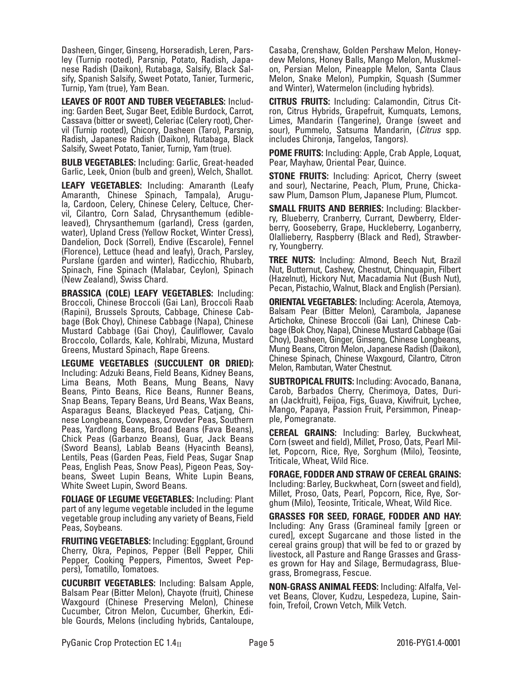Dasheen, Ginger, Ginseng, Horseradish, Leren, Parsley (Turnip rooted), Parsnip, Potato, Radish, Japanese Radish (Daikon), Rutabaga, Salsify, Black Salsify, Spanish Salsify, Sweet Potato, Tanier, Turmeric, Turnip, Yam (true), Yam Bean.

**LEAVES OF ROOT AND TUBER VEGETABLES:** Includ- ing: Garden Beet, Sugar Beet, Edible Burdock, Carrot, Cassava (bitter or sweet), Celeriac (Celery root), Cher- vil (Turnip rooted), Chicory, Dasheen (Taro), Parsnip, Radish, Japanese Radish (Daikon), Rutabaga, Black Salsify, Sweet Potato, Tanier, Turnip, Yam (true).

**BULB VEGETABLES:** Including: Garlic, Great-headed Garlic, Leek, Onion (bulb and green), Welch, Shallot.

**LEAFY VEGETABLES:** Including: Amaranth (Leafy Amaranth, Chinese Spinach, Tampala), Arugula, Cardoon, Celery, Chinese Celery, Celtuce, Chervil, Cilantro, Corn Salad, Chrysanthemum (edibleleaved), Chrysanthemum (garland), Cress (garden, water), Upland Cress (Yellow Rocket, Winter Cress), Dandelion, Dock (Sorrel), Endive (Escarole), Fennel (Florence), Lettuce (head and leafy), Orach, Parsley, Purslane (garden and winter), Radicchio, Rhubarb, Spinach, Fine Spinach (Malabar, Ceylon), Spinach (New Zealand), Swiss Chard.

**BRASSICA (COLE) LEAFY VEGETABLES:** Including: Broccoli, Chinese Broccoli (Gai Lan), Broccoli Raab (Rapini), Brussels Sprouts, Cabbage, Chinese Cabbage (Bok Choy), Chinese Cabbage (Napa), Chinese Mustard Cabbage (Gai Choy), Cauliflower, Cavalo Broccolo, Collards, Kale, Kohlrabi, Mizuna, Mustard Greens, Mustard Spinach, Rape Greens.

**LEGUME VEGETABLES (SUCCULENT OR DRIED):**  Including: Adzuki Beans, Field Beans, Kidney Beans, Lima Beans, Moth Beans, Mung Beans, Navy Beans, Pinto Beans, Rice Beans, Runner Beans, Snap Beans, Tepary Beans, Urd Beans, Wax Beans, Asparagus Beans, Blackeyed Peas, Catjang, Chi- nese Longbeans, Cowpeas, Crowder Peas, Southern Peas, Yardlong Beans, Broad Beans (Fava Beans), Chick Peas (Garbanzo Beans), Guar, Jack Beans (Sword Beans), Lablab Beans (Hyacinth Beans), Lentils, Peas (Garden Peas, Field Peas, Sugar Snap Peas, English Peas, Snow Peas), Pigeon Peas, Soy- beans, Sweet Lupin Beans, White Lupin Beans, White Sweet Lupin, Sword Beans.

**FOLIAGE OF LEGUME VEGETABLES:** Including: Plant part of any legume vegetable included in the legume vegetable group including any variety of Beans, Field Peas, Soybeans.

**FRUITING VEGETABLES:** Including: Eggplant, Ground Cherry, Okra, Pepinos, Pepper (Bell Pepper, Chili Pepper, Cooking Peppers, Pimentos, Sweet Peppers), Tomatillo, Tomatoes.

**CUCURBIT VEGETABLES:** Including: Balsam Apple, Balsam Pear (Bitter Melon), Chayote (fruit), Chinese Waxgourd (Chinese Preserving Melon), Chinese ble Gourds, Melons (including hybrids, Cantaloupe,

Casaba, Crenshaw, Golden Pershaw Melon, Honeydew Melons, Honey Balls, Mango Melon, Muskmelon, Persian Melon, Pineapple Melon, Santa Claus Melon, Snake Melon), Pumpkin, Squash (Summer and Winter), Watermelon (including hybrids).

**CITRUS FRUITS:** Including: Calamondin, Citrus Citron, Citrus Hybrids, Grapefruit, Kumquats, Lemons, Limes, Mandarin (Tangerine), Orange (sweet and sour), Pummelo, Satsuma Mandarin, (*Citrus* spp. includes Chironja, Tangelos, Tangors).

**POME FRUITS:** Including: Apple, Crab Apple, Loquat, Pear, Mayhaw, Oriental Pear, Quince.

**STONE FRUITS:** Including: Apricot, Cherry (sweet and sour), Nectarine, Peach, Plum, Prune, Chicka- saw Plum, Damson Plum, Japanese Plum, Plumcot.

**SMALL FRUITS AND BERRIES:** Including: Blackberry, Blueberry, Cranberry, Currant, Dewberry, Elderberry, Gooseberry, Grape, Huckleberry, Loganberry, Olallieberry, Raspberry (Black and Red), Strawberry, Youngberry.

**TREE NUTS:** Including: Almond, Beech Nut, Brazil Nut, Butternut, Cashew, Chestnut, Chinquapin, Filbert (Hazelnut), Hickory Nut, Macadamia Nut (Bush Nut), Pecan, Pistachio, Walnut, Black and English (Persian).

**ORIENTAL VEGETABLES:** Including: Acerola, Atemoya, Balsam Pear (Bitter Melon), Carambola, Japanese Artichoke, Chinese Broccoli (Gai Lan), Chinese Cabbage (Bok Choy, Napa), Chinese Mustard Cabbage (Gai Choy), Dasheen, Ginger, Ginseng, Chinese Longbeans, Mung Beans, Citron Melon, Japanese Radish (Daikon), Chinese Spinach, Chinese Waxgourd, Cilantro, Citron Melon, Rambutan, Water Chestnut.

**SUBTROPICAL FRUITS:** Including: Avocado, Banana, an (Jackfruit), Feijoa, Figs, Guava, Kiwifruit, Lychee, Mango, Papaya, Passion Fruit, Persimmon, Pineap- ple, Pomegranate.

**CEREAL GRAINS:** Including: Barley, Buckwheat, Corn (sweet and field), Millet, Proso, Oats, Pearl Millet, Popcorn, Rice, Rye, Sorghum (Milo), Teosinte, Triticale, Wheat, Wild Rice.

**FORAGE, FODDER AND STRAW OF CEREAL GRAINS:** Including: Barley, Buckwheat, Corn (sweet and field), Millet, Proso, Oats, Pearl, Popcorn, Rice, Rye, Sorghum (Milo), Teosinte, Triticale, Wheat, Wild Rice.

**GRASSES FOR SEED, FORAGE, FODDER AND HAY:** Including: Any Grass (Gramineal family [green or cured], except Sugarcane and those listed in the cereal grains group) that will be fed to or grazed by livestock, all Pasture and Range Grasses and Grasses grown for Hay and Silage, Bermudagrass, Bluegrass, Bromegrass, Fescue.

**NON-GRASS ANIMAL FEEDS:** Including: Alfalfa, Velvet Beans, Clover, Kudzu, Lespedeza, Lupine, Sainfoin, Trefoil, Crown Vetch, Milk Vetch.